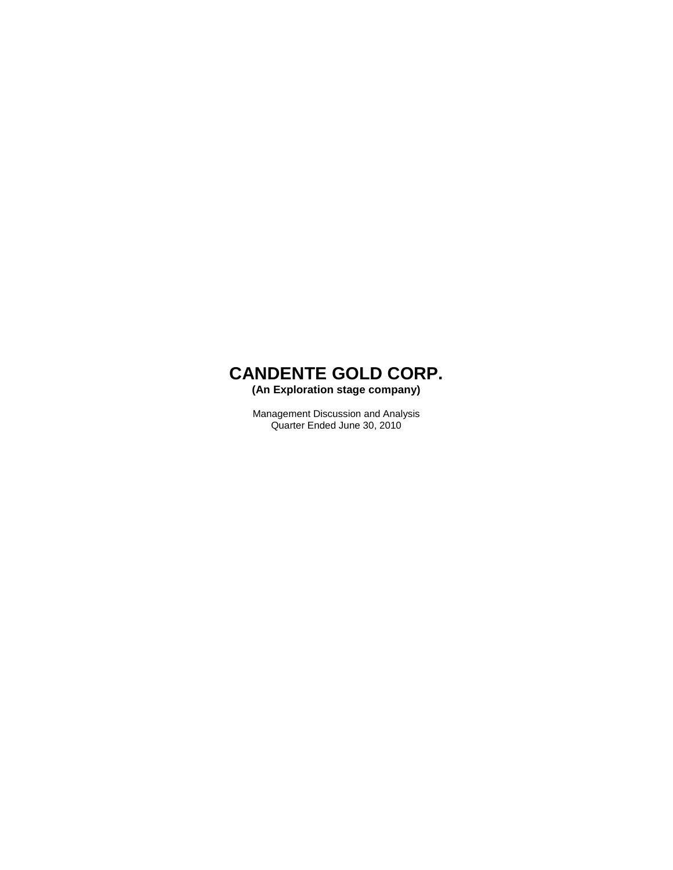**(An Exploration stage company)** 

Management Discussion and Analysis Quarter Ended June 30, 2010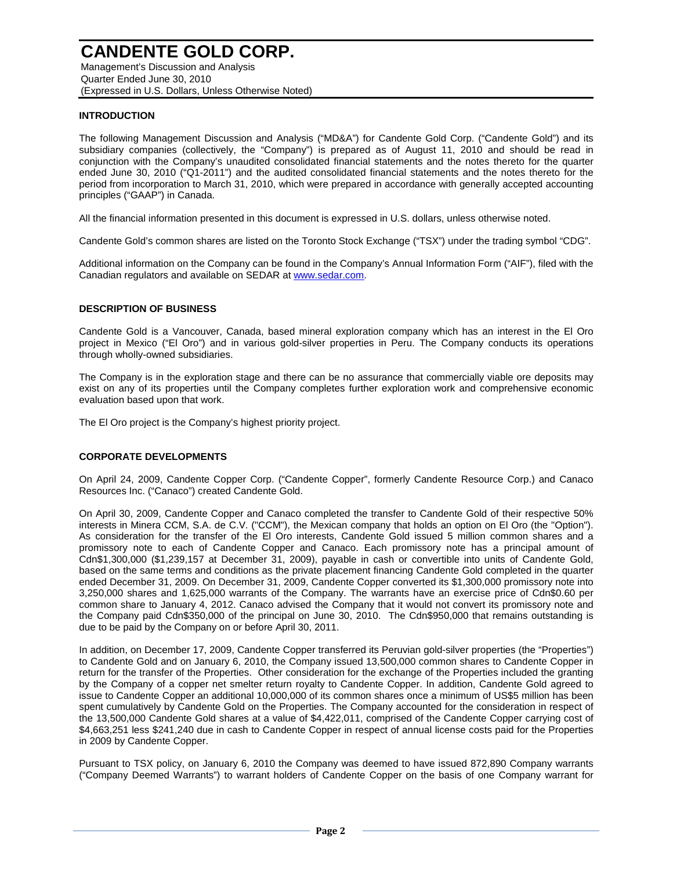Management's Discussion and Analysis Quarter Ended June 30, 2010 (Expressed in U.S. Dollars, Unless Otherwise Noted)

#### **INTRODUCTION**

The following Management Discussion and Analysis ("MD&A") for Candente Gold Corp. ("Candente Gold") and its subsidiary companies (collectively, the "Company") is prepared as of August 11, 2010 and should be read in conjunction with the Company's unaudited consolidated financial statements and the notes thereto for the quarter ended June 30, 2010 ("Q1-2011") and the audited consolidated financial statements and the notes thereto for the period from incorporation to March 31, 2010, which were prepared in accordance with generally accepted accounting principles ("GAAP") in Canada.

All the financial information presented in this document is expressed in U.S. dollars, unless otherwise noted.

Candente Gold's common shares are listed on the Toronto Stock Exchange ("TSX") under the trading symbol "CDG".

Additional information on the Company can be found in the Company's Annual Information Form ("AIF"), filed with the Canadian regulators and available on SEDAR at www.sedar.com.

#### **DESCRIPTION OF BUSINESS**

Candente Gold is a Vancouver, Canada, based mineral exploration company which has an interest in the El Oro project in Mexico ("El Oro") and in various gold-silver properties in Peru. The Company conducts its operations through wholly-owned subsidiaries.

The Company is in the exploration stage and there can be no assurance that commercially viable ore deposits may exist on any of its properties until the Company completes further exploration work and comprehensive economic evaluation based upon that work.

The El Oro project is the Company's highest priority project.

#### **CORPORATE DEVELOPMENTS**

On April 24, 2009, Candente Copper Corp. ("Candente Copper", formerly Candente Resource Corp.) and Canaco Resources Inc. ("Canaco") created Candente Gold.

On April 30, 2009, Candente Copper and Canaco completed the transfer to Candente Gold of their respective 50% interests in Minera CCM, S.A. de C.V. ("CCM"), the Mexican company that holds an option on El Oro (the "Option"). As consideration for the transfer of the El Oro interests, Candente Gold issued 5 million common shares and a promissory note to each of Candente Copper and Canaco. Each promissory note has a principal amount of Cdn\$1,300,000 (\$1,239,157 at December 31, 2009), payable in cash or convertible into units of Candente Gold, based on the same terms and conditions as the private placement financing Candente Gold completed in the quarter ended December 31, 2009. On December 31, 2009, Candente Copper converted its \$1,300,000 promissory note into 3,250,000 shares and 1,625,000 warrants of the Company. The warrants have an exercise price of Cdn\$0.60 per common share to January 4, 2012. Canaco advised the Company that it would not convert its promissory note and the Company paid Cdn\$350,000 of the principal on June 30, 2010. The Cdn\$950,000 that remains outstanding is due to be paid by the Company on or before April 30, 2011.

In addition, on December 17, 2009, Candente Copper transferred its Peruvian gold-silver properties (the "Properties") to Candente Gold and on January 6, 2010, the Company issued 13,500,000 common shares to Candente Copper in return for the transfer of the Properties. Other consideration for the exchange of the Properties included the granting by the Company of a copper net smelter return royalty to Candente Copper. In addition, Candente Gold agreed to issue to Candente Copper an additional 10,000,000 of its common shares once a minimum of US\$5 million has been spent cumulatively by Candente Gold on the Properties. The Company accounted for the consideration in respect of the 13,500,000 Candente Gold shares at a value of \$4,422,011, comprised of the Candente Copper carrying cost of \$4,663,251 less \$241,240 due in cash to Candente Copper in respect of annual license costs paid for the Properties in 2009 by Candente Copper.

Pursuant to TSX policy, on January 6, 2010 the Company was deemed to have issued 872,890 Company warrants ("Company Deemed Warrants") to warrant holders of Candente Copper on the basis of one Company warrant for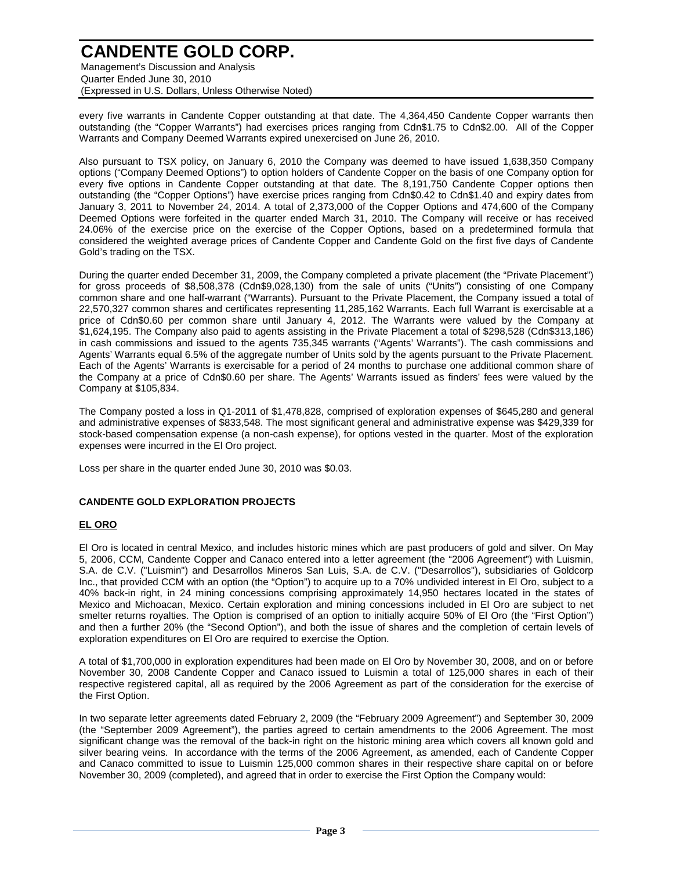Management's Discussion and Analysis Quarter Ended June 30, 2010 (Expressed in U.S. Dollars, Unless Otherwise Noted)

every five warrants in Candente Copper outstanding at that date. The 4,364,450 Candente Copper warrants then outstanding (the "Copper Warrants") had exercises prices ranging from Cdn\$1.75 to Cdn\$2.00. All of the Copper Warrants and Company Deemed Warrants expired unexercised on June 26, 2010.

Also pursuant to TSX policy, on January 6, 2010 the Company was deemed to have issued 1,638,350 Company options ("Company Deemed Options") to option holders of Candente Copper on the basis of one Company option for every five options in Candente Copper outstanding at that date. The 8,191,750 Candente Copper options then outstanding (the "Copper Options") have exercise prices ranging from Cdn\$0.42 to Cdn\$1.40 and expiry dates from January 3, 2011 to November 24, 2014. A total of 2,373,000 of the Copper Options and 474,600 of the Company Deemed Options were forfeited in the quarter ended March 31, 2010. The Company will receive or has received 24.06% of the exercise price on the exercise of the Copper Options, based on a predetermined formula that considered the weighted average prices of Candente Copper and Candente Gold on the first five days of Candente Gold's trading on the TSX.

During the quarter ended December 31, 2009, the Company completed a private placement (the "Private Placement") for gross proceeds of \$8,508,378 (Cdn\$9,028,130) from the sale of units ("Units") consisting of one Company common share and one half-warrant ("Warrants). Pursuant to the Private Placement, the Company issued a total of 22,570,327 common shares and certificates representing 11,285,162 Warrants. Each full Warrant is exercisable at a price of Cdn\$0.60 per common share until January 4, 2012. The Warrants were valued by the Company at \$1,624,195. The Company also paid to agents assisting in the Private Placement a total of \$298,528 (Cdn\$313,186) in cash commissions and issued to the agents 735,345 warrants ("Agents' Warrants"). The cash commissions and Agents' Warrants equal 6.5% of the aggregate number of Units sold by the agents pursuant to the Private Placement. Each of the Agents' Warrants is exercisable for a period of 24 months to purchase one additional common share of the Company at a price of Cdn\$0.60 per share. The Agents' Warrants issued as finders' fees were valued by the Company at \$105,834.

The Company posted a loss in Q1-2011 of \$1,478,828, comprised of exploration expenses of \$645,280 and general and administrative expenses of \$833,548. The most significant general and administrative expense was \$429,339 for stock-based compensation expense (a non-cash expense), for options vested in the quarter. Most of the exploration expenses were incurred in the El Oro project.

Loss per share in the quarter ended June 30, 2010 was \$0.03.

#### **CANDENTE GOLD EXPLORATION PROJECTS**

#### **EL ORO**

El Oro is located in central Mexico, and includes historic mines which are past producers of gold and silver. On May 5, 2006, CCM, Candente Copper and Canaco entered into a letter agreement (the "2006 Agreement") with Luismin, S.A. de C.V. ("Luismin") and Desarrollos Mineros San Luis, S.A. de C.V. ("Desarrollos"), subsidiaries of Goldcorp Inc., that provided CCM with an option (the "Option") to acquire up to a 70% undivided interest in El Oro, subject to a 40% back-in right, in 24 mining concessions comprising approximately 14,950 hectares located in the states of Mexico and Michoacan, Mexico. Certain exploration and mining concessions included in El Oro are subject to net smelter returns royalties. The Option is comprised of an option to initially acquire 50% of El Oro (the "First Option") and then a further 20% (the "Second Option"), and both the issue of shares and the completion of certain levels of exploration expenditures on El Oro are required to exercise the Option.

A total of \$1,700,000 in exploration expenditures had been made on El Oro by November 30, 2008, and on or before November 30, 2008 Candente Copper and Canaco issued to Luismin a total of 125,000 shares in each of their respective registered capital, all as required by the 2006 Agreement as part of the consideration for the exercise of the First Option.

In two separate letter agreements dated February 2, 2009 (the "February 2009 Agreement") and September 30, 2009 (the "September 2009 Agreement"), the parties agreed to certain amendments to the 2006 Agreement. The most significant change was the removal of the back-in right on the historic mining area which covers all known gold and silver bearing veins. In accordance with the terms of the 2006 Agreement, as amended, each of Candente Copper and Canaco committed to issue to Luismin 125,000 common shares in their respective share capital on or before November 30, 2009 (completed), and agreed that in order to exercise the First Option the Company would: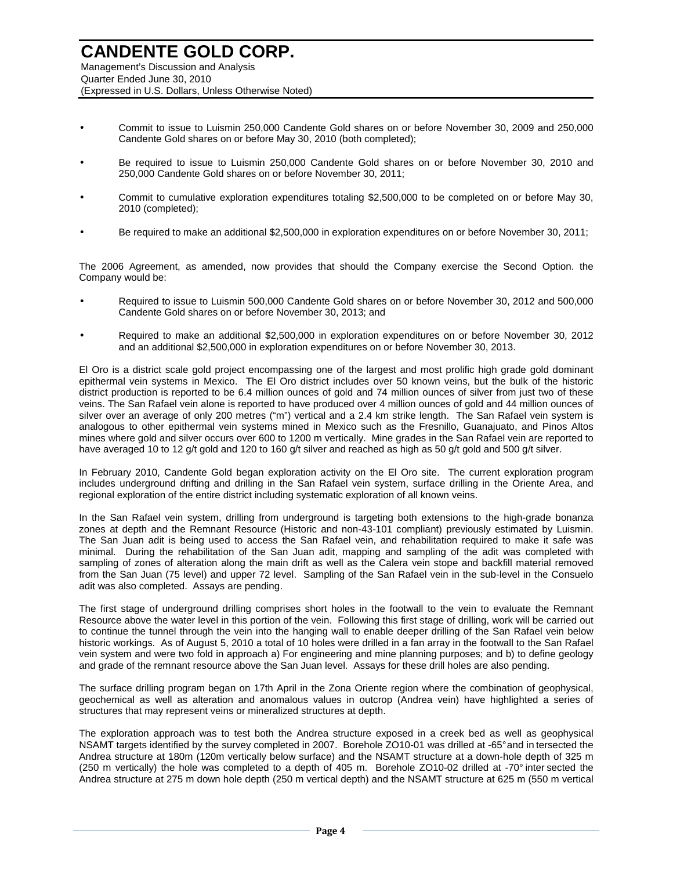Management's Discussion and Analysis Quarter Ended June 30, 2010 (Expressed in U.S. Dollars, Unless Otherwise Noted)

- Commit to issue to Luismin 250,000 Candente Gold shares on or before November 30, 2009 and 250,000 Candente Gold shares on or before May 30, 2010 (both completed);
- Be required to issue to Luismin 250,000 Candente Gold shares on or before November 30, 2010 and 250,000 Candente Gold shares on or before November 30, 2011;
- Commit to cumulative exploration expenditures totaling \$2,500,000 to be completed on or before May 30, 2010 (completed);
- Be required to make an additional \$2,500,000 in exploration expenditures on or before November 30, 2011;

The 2006 Agreement, as amended, now provides that should the Company exercise the Second Option. the Company would be:

- Required to issue to Luismin 500,000 Candente Gold shares on or before November 30, 2012 and 500,000 Candente Gold shares on or before November 30, 2013; and
- Required to make an additional \$2,500,000 in exploration expenditures on or before November 30, 2012 and an additional \$2,500,000 in exploration expenditures on or before November 30, 2013.

El Oro is a district scale gold project encompassing one of the largest and most prolific high grade gold dominant epithermal vein systems in Mexico. The El Oro district includes over 50 known veins, but the bulk of the historic district production is reported to be 6.4 million ounces of gold and 74 million ounces of silver from just two of these veins. The San Rafael vein alone is reported to have produced over 4 million ounces of gold and 44 million ounces of silver over an average of only 200 metres ("m") vertical and a 2.4 km strike length. The San Rafael vein system is analogous to other epithermal vein systems mined in Mexico such as the Fresnillo, Guanajuato, and Pinos Altos mines where gold and silver occurs over 600 to 1200 m vertically. Mine grades in the San Rafael vein are reported to have averaged 10 to 12 g/t gold and 120 to 160 g/t silver and reached as high as 50 g/t gold and 500 g/t silver.

In February 2010, Candente Gold began exploration activity on the El Oro site. The current exploration program includes underground drifting and drilling in the San Rafael vein system, surface drilling in the Oriente Area, and regional exploration of the entire district including systematic exploration of all known veins.

In the San Rafael vein system, drilling from underground is targeting both extensions to the high-grade bonanza zones at depth and the Remnant Resource (Historic and non-43-101 compliant) previously estimated by Luismin. The San Juan adit is being used to access the San Rafael vein, and rehabilitation required to make it safe was minimal. During the rehabilitation of the San Juan adit, mapping and sampling of the adit was completed with sampling of zones of alteration along the main drift as well as the Calera vein stope and backfill material removed from the San Juan (75 level) and upper 72 level. Sampling of the San Rafael vein in the sub-level in the Consuelo adit was also completed. Assays are pending.

The first stage of underground drilling comprises short holes in the footwall to the vein to evaluate the Remnant Resource above the water level in this portion of the vein. Following this first stage of drilling, work will be carried out to continue the tunnel through the vein into the hanging wall to enable deeper drilling of the San Rafael vein below historic workings. As of August 5, 2010 a total of 10 holes were drilled in a fan array in the footwall to the San Rafael vein system and were two fold in approach a) For engineering and mine planning purposes; and b) to define geology and grade of the remnant resource above the San Juan level. Assays for these drill holes are also pending.

The surface drilling program began on 17th April in the Zona Oriente region where the combination of geophysical, geochemical as well as alteration and anomalous values in outcrop (Andrea vein) have highlighted a series of structures that may represent veins or mineralized structures at depth.

The exploration approach was to test both the Andrea structure exposed in a creek bed as well as geophysical NSAMT targets identified by the survey completed in 2007. Borehole ZO10-01 was drilled at -65° and in tersected the Andrea structure at 180m (120m vertically below surface) and the NSAMT structure at a down-hole depth of 325 m (250 m vertically) the hole was completed to a depth of 405 m. Borehole ZO10-02 drilled at -70° inter sected the Andrea structure at 275 m down hole depth (250 m vertical depth) and the NSAMT structure at 625 m (550 m vertical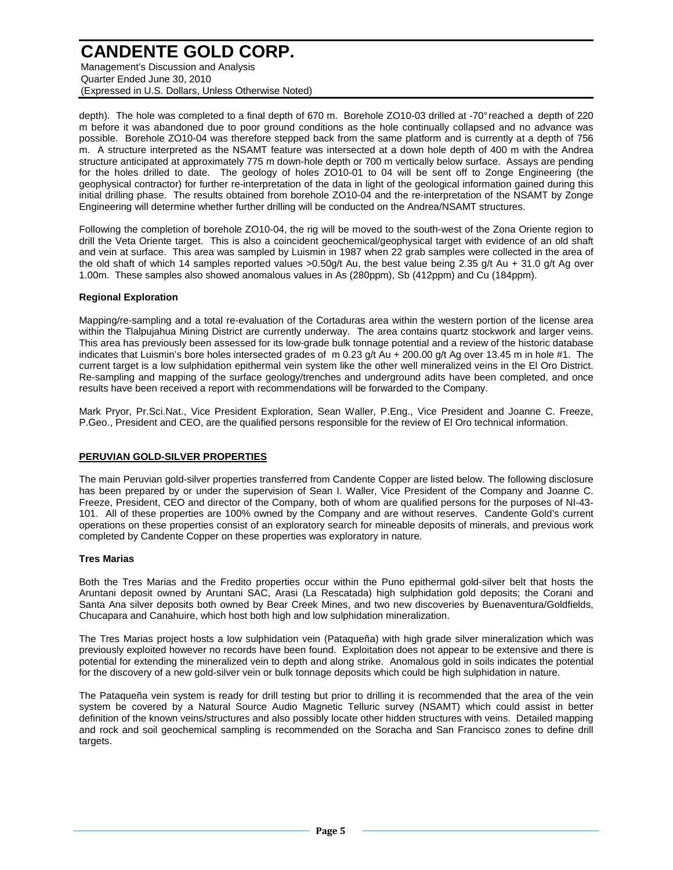Management's Discussion and Analysis Quarter Ended June 30, 2010 (Expressed in U.S. Dollars, Unless Otherwise Noted)

depth). The hole was completed to a final depth of 670 m. Borehole ZO10-03 drilled at -70° reached a depth of 220 m before it was abandoned due to poor ground conditions as the hole continually collapsed and no advance was possible. Borehole ZO10-04 was therefore stepped back from the same platform and is currently at a depth of 756 m. A structure interpreted as the NSAMT feature was intersected at a down hole depth of 400 m with the Andrea structure anticipated at approximately 775 m down-hole depth or 700 m vertically below surface. Assays are pending for the holes drilled to date. The geology of holes ZO10-01 to 04 will be sent off to Zonge Engineering (the geophysical contractor) for further re-interpretation of the data in light of the geological information gained during this initial drilling phase. The results obtained from borehole ZO10-04 and the re-interpretation of the NSAMT by Zonge Engineering will determine whether further drilling will be conducted on the Andrea/NSAMT structures.

Following the completion of borehole ZO10-04, the rig will be moved to the south-west of the Zona Oriente region to drill the Veta Oriente target. This is also a coincident geochemical/geophysical target with evidence of an old shaft and vein at surface. This area was sampled by Luismin in 1987 when 22 grab samples were collected in the area of the old shaft of which 14 samples reported values >0.50g/t Au, the best value being 2.35 g/t Au + 31.0 g/t Ag over 1.00m. These samples also showed anomalous values in As (280ppm), Sb (412ppm) and Cu (184ppm).

#### **Regional Exploration**

Mapping/re-sampling and a total re-evaluation of the Cortaduras area within the western portion of the license area within the Tlalpujahua Mining District are currently underway. The area contains quartz stockwork and larger veins. This area has previously been assessed for its low-grade bulk tonnage potential and a review of the historic database indicates that Luismin's bore holes intersected grades of m 0.23 g/t Au + 200.00 g/t Ag over 13.45 m in hole #1. The current target is a low sulphidation epithermal vein system like the other well mineralized veins in the El Oro District. Re-sampling and mapping of the surface geology/trenches and underground adits have been completed, and once results have been received a report with recommendations will be forwarded to the Company.

Mark Pryor, Pr.Sci.Nat., Vice President Exploration, Sean Waller, P.Eng., Vice President and Joanne C. Freeze, P.Geo., President and CEO, are the qualified persons responsible for the review of El Oro technical information.

#### **PERUVIAN GOLD-SILVER PROPERTIES**

The main Peruvian gold-silver properties transferred from Candente Copper are listed below. The following disclosure has been prepared by or under the supervision of Sean I. Waller, Vice President of the Company and Joanne C. Freeze, President, CEO and director of the Company, both of whom are qualified persons for the purposes of NI-43- 101. All of these properties are 100% owned by the Company and are without reserves. Candente Gold's current operations on these properties consist of an exploratory search for mineable deposits of minerals, and previous work completed by Candente Copper on these properties was exploratory in nature.

#### **Tres Marias**

Both the Tres Marias and the Fredito properties occur within the Puno epithermal gold-silver belt that hosts the Aruntani deposit owned by Aruntani SAC, Arasi (La Rescatada) high sulphidation gold deposits; the Corani and Santa Ana silver deposits both owned by Bear Creek Mines, and two new discoveries by Buenaventura/Goldfields, Chucapara and Canahuire, which host both high and low sulphidation mineralization.

The Tres Marias project hosts a low sulphidation vein (Pataqueña) with high grade silver mineralization which was previously exploited however no records have been found. Exploitation does not appear to be extensive and there is potential for extending the mineralized vein to depth and along strike. Anomalous gold in soils indicates the potential for the discovery of a new gold-silver vein or bulk tonnage deposits which could be high sulphidation in nature.

The Pataqueña vein system is ready for drill testing but prior to drilling it is recommended that the area of the vein system be covered by a Natural Source Audio Magnetic Telluric survey (NSAMT) which could assist in better definition of the known veins/structures and also possibly locate other hidden structures with veins. Detailed mapping and rock and soil geochemical sampling is recommended on the Soracha and San Francisco zones to define drill targets.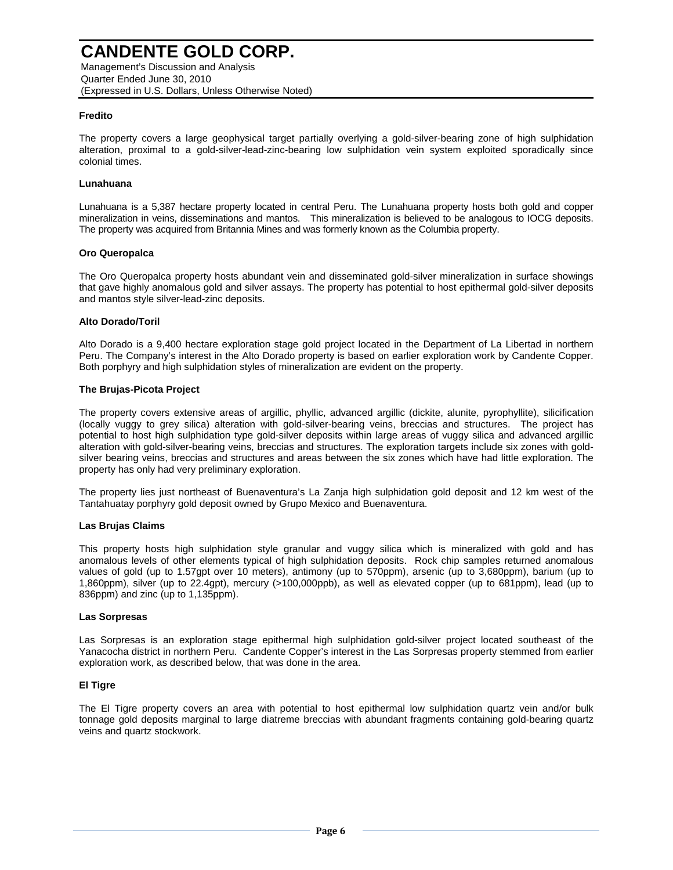Management's Discussion and Analysis Quarter Ended June 30, 2010 (Expressed in U.S. Dollars, Unless Otherwise Noted)

#### **Fredito**

The property covers a large geophysical target partially overlying a gold-silver-bearing zone of high sulphidation alteration, proximal to a gold-silver-lead-zinc-bearing low sulphidation vein system exploited sporadically since colonial times.

#### **Lunahuana**

Lunahuana is a 5,387 hectare property located in central Peru. The Lunahuana property hosts both gold and copper mineralization in veins, disseminations and mantos. This mineralization is believed to be analogous to IOCG deposits. The property was acquired from Britannia Mines and was formerly known as the Columbia property.

#### **Oro Queropalca**

The Oro Queropalca property hosts abundant vein and disseminated gold-silver mineralization in surface showings that gave highly anomalous gold and silver assays. The property has potential to host epithermal gold-silver deposits and mantos style silver-lead-zinc deposits.

#### **Alto Dorado/Toril**

Alto Dorado is a 9,400 hectare exploration stage gold project located in the Department of La Libertad in northern Peru. The Company's interest in the Alto Dorado property is based on earlier exploration work by Candente Copper. Both porphyry and high sulphidation styles of mineralization are evident on the property.

#### **The Brujas-Picota Project**

The property covers extensive areas of argillic, phyllic, advanced argillic (dickite, alunite, pyrophyllite), silicification (locally vuggy to grey silica) alteration with gold-silver-bearing veins, breccias and structures. The project has potential to host high sulphidation type gold-silver deposits within large areas of vuggy silica and advanced argillic alteration with gold-silver-bearing veins, breccias and structures. The exploration targets include six zones with goldsilver bearing veins, breccias and structures and areas between the six zones which have had little exploration. The property has only had very preliminary exploration.

The property lies just northeast of Buenaventura's La Zanja high sulphidation gold deposit and 12 km west of the Tantahuatay porphyry gold deposit owned by Grupo Mexico and Buenaventura.

#### **Las Brujas Claims**

This property hosts high sulphidation style granular and vuggy silica which is mineralized with gold and has anomalous levels of other elements typical of high sulphidation deposits. Rock chip samples returned anomalous values of gold (up to 1.57gpt over 10 meters), antimony (up to 570ppm), arsenic (up to 3,680ppm), barium (up to 1,860ppm), silver (up to 22.4gpt), mercury (>100,000ppb), as well as elevated copper (up to 681ppm), lead (up to 836ppm) and zinc (up to 1,135ppm).

#### **Las Sorpresas**

Las Sorpresas is an exploration stage epithermal high sulphidation gold-silver project located southeast of the Yanacocha district in northern Peru. Candente Copper's interest in the Las Sorpresas property stemmed from earlier exploration work, as described below, that was done in the area.

#### **El Tigre**

The El Tigre property covers an area with potential to host epithermal low sulphidation quartz vein and/or bulk tonnage gold deposits marginal to large diatreme breccias with abundant fragments containing gold-bearing quartz veins and quartz stockwork.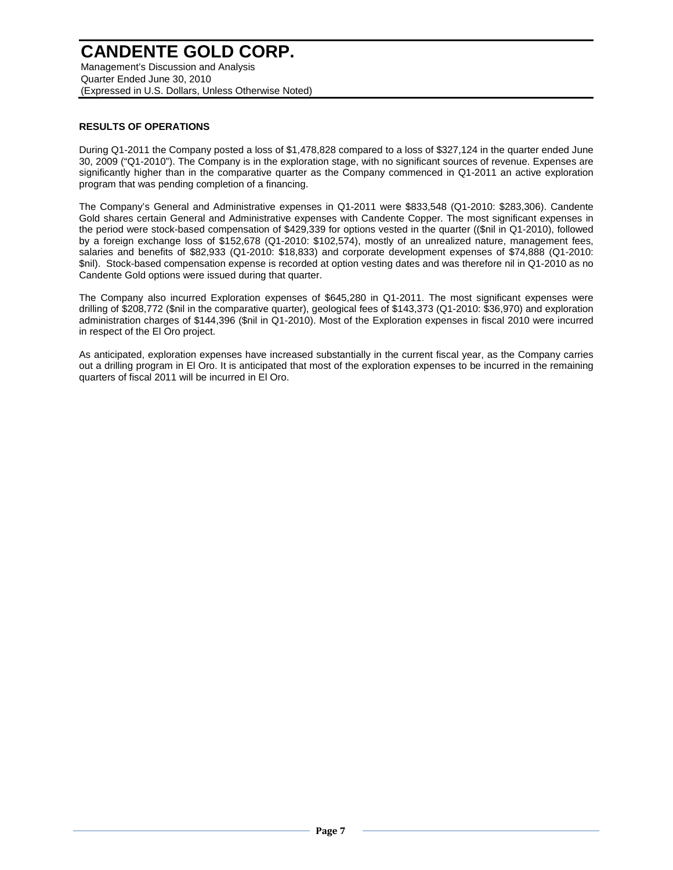### **CANDENTE GOLD CORP.** Management's Discussion and Analysis

Quarter Ended June 30, 2010 (Expressed in U.S. Dollars, Unless Otherwise Noted)

#### **RESULTS OF OPERATIONS**

During Q1-2011 the Company posted a loss of \$1,478,828 compared to a loss of \$327,124 in the quarter ended June 30, 2009 ("Q1-2010"). The Company is in the exploration stage, with no significant sources of revenue. Expenses are significantly higher than in the comparative quarter as the Company commenced in Q1-2011 an active exploration program that was pending completion of a financing.

The Company's General and Administrative expenses in Q1-2011 were \$833,548 (Q1-2010: \$283,306). Candente Gold shares certain General and Administrative expenses with Candente Copper. The most significant expenses in the period were stock-based compensation of \$429,339 for options vested in the quarter ((\$nil in Q1-2010), followed by a foreign exchange loss of \$152,678 (Q1-2010: \$102,574), mostly of an unrealized nature, management fees, salaries and benefits of \$82,933 (Q1-2010: \$18,833) and corporate development expenses of \$74,888 (Q1-2010: \$nil). Stock-based compensation expense is recorded at option vesting dates and was therefore nil in Q1-2010 as no Candente Gold options were issued during that quarter.

The Company also incurred Exploration expenses of \$645,280 in Q1-2011. The most significant expenses were drilling of \$208,772 (\$nil in the comparative quarter), geological fees of \$143,373 (Q1-2010: \$36,970) and exploration administration charges of \$144,396 (\$nil in Q1-2010). Most of the Exploration expenses in fiscal 2010 were incurred in respect of the El Oro project.

As anticipated, exploration expenses have increased substantially in the current fiscal year, as the Company carries out a drilling program in El Oro. It is anticipated that most of the exploration expenses to be incurred in the remaining quarters of fiscal 2011 will be incurred in El Oro.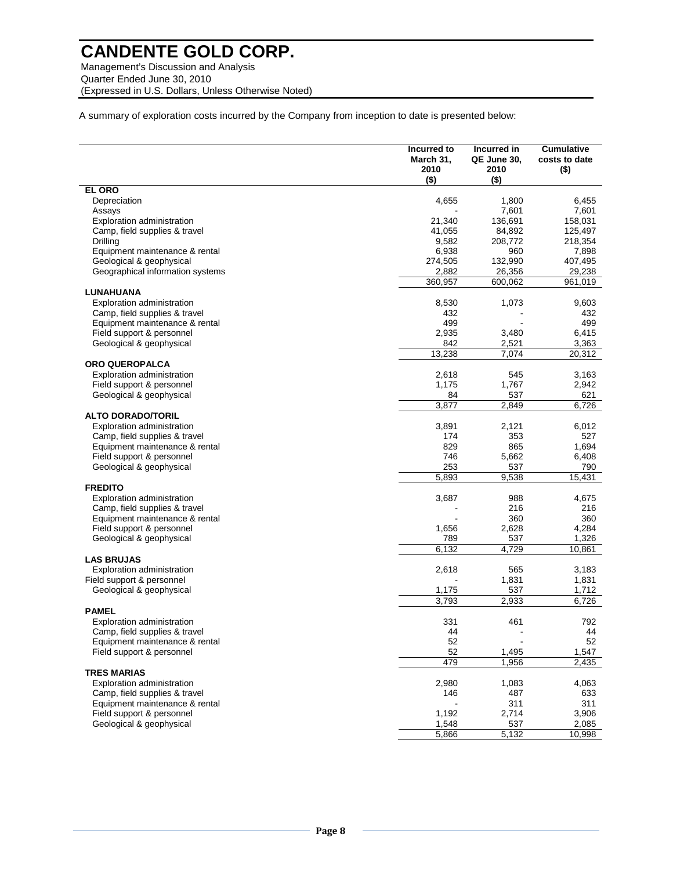Management's Discussion and Analysis Quarter Ended June 30, 2010 (Expressed in U.S. Dollars, Unless Otherwise Noted)

A summary of exploration costs incurred by the Company from inception to date is presented below:

|                                                                 | Incurred to<br>March 31,<br>2010<br>$($ \$) | Incurred in<br>QE June 30,<br>2010<br>$($ \$) | <b>Cumulative</b><br>costs to date<br>$($ \$) |
|-----------------------------------------------------------------|---------------------------------------------|-----------------------------------------------|-----------------------------------------------|
| <b>EL ORO</b>                                                   |                                             |                                               |                                               |
| Depreciation                                                    | 4,655                                       | 1,800                                         | 6,455                                         |
| Assays                                                          |                                             | 7,601                                         | 7,601                                         |
| <b>Exploration administration</b>                               | 21,340                                      | 136,691                                       | 158,031                                       |
| Camp, field supplies & travel                                   | 41,055                                      | 84,892                                        | 125,497                                       |
| Drilling                                                        | 9,582                                       | 208,772                                       | 218,354                                       |
| Equipment maintenance & rental                                  | 6,938                                       | 960                                           | 7,898                                         |
| Geological & geophysical                                        | 274,505                                     | 132,990                                       | 407,495                                       |
| Geographical information systems                                | 2,882                                       | 26,356                                        | 29,238                                        |
|                                                                 | 360,957                                     | 600,062                                       | 961,019                                       |
| LUNAHUANA                                                       |                                             |                                               |                                               |
| Exploration administration                                      | 8,530                                       | 1,073                                         | 9,603                                         |
| Camp, field supplies & travel                                   | 432                                         |                                               | 432                                           |
| Equipment maintenance & rental                                  | 499                                         |                                               | 499                                           |
| Field support & personnel                                       | 2,935                                       | 3,480                                         | 6,415                                         |
| Geological & geophysical                                        | 842                                         | 2,521                                         | 3,363                                         |
|                                                                 | 13,238                                      | 7,074                                         | 20,312                                        |
| <b>ORO QUEROPALCA</b>                                           |                                             |                                               |                                               |
| <b>Exploration administration</b>                               | 2,618                                       | 545                                           | 3,163                                         |
| Field support & personnel                                       | 1,175                                       | 1,767                                         | 2,942                                         |
| Geological & geophysical                                        | 84                                          | 537                                           | 621                                           |
|                                                                 | 3,877                                       | 2,849                                         | 6,726                                         |
| <b>ALTO DORADO/TORIL</b>                                        |                                             |                                               |                                               |
| <b>Exploration administration</b>                               | 3,891                                       | 2,121                                         | 6,012                                         |
| Camp, field supplies & travel                                   | 174                                         | 353                                           | 527                                           |
| Equipment maintenance & rental                                  | 829                                         | 865                                           | 1,694                                         |
| Field support & personnel                                       | 746                                         | 5,662                                         | 6,408                                         |
| Geological & geophysical                                        | 253                                         | 537                                           | 790                                           |
|                                                                 | 5,893                                       | 9,538                                         | 15,431                                        |
| <b>FREDITO</b>                                                  |                                             |                                               |                                               |
| Exploration administration                                      | 3,687                                       | 988                                           | 4,675                                         |
| Camp, field supplies & travel                                   |                                             | 216                                           | 216                                           |
| Equipment maintenance & rental                                  |                                             | 360                                           | 360                                           |
| Field support & personnel                                       | 1,656                                       | 2,628                                         | 4,284                                         |
| Geological & geophysical                                        | 789                                         | 537                                           | 1,326                                         |
|                                                                 | 6,132                                       | 4,729                                         | 10,861                                        |
| <b>LAS BRUJAS</b>                                               |                                             |                                               |                                               |
| <b>Exploration administration</b>                               | 2,618                                       | 565                                           | 3,183                                         |
| Field support & personnel                                       |                                             | 1,831                                         | 1,831                                         |
| Geological & geophysical                                        | 1,175                                       | 537                                           | 1,712                                         |
|                                                                 | 3.793                                       | 2.933                                         | 6,726                                         |
| <b>PAMEL</b>                                                    |                                             |                                               |                                               |
| <b>Exploration administration</b>                               | 331                                         | 461                                           | 792                                           |
|                                                                 | 44                                          |                                               | 44                                            |
| Camp, field supplies & travel<br>Equipment maintenance & rental | 52                                          |                                               | 52                                            |
| Field support & personnel                                       | 52                                          | 1,495                                         | 1,547                                         |
|                                                                 | 479                                         | 1,956                                         |                                               |
|                                                                 |                                             |                                               | 2,435                                         |
| <b>TRES MARIAS</b>                                              |                                             |                                               |                                               |
| Exploration administration                                      | 2,980                                       | 1,083                                         | 4,063                                         |
| Camp, field supplies & travel                                   | 146                                         | 487                                           | 633                                           |
| Equipment maintenance & rental                                  |                                             | 311                                           | 311                                           |
| Field support & personnel                                       | 1,192                                       | 2,714                                         | 3,906                                         |
| Geological & geophysical                                        | 1,548                                       | 537                                           | 2,085                                         |
|                                                                 | 5,866                                       | 5,132                                         | 10,998                                        |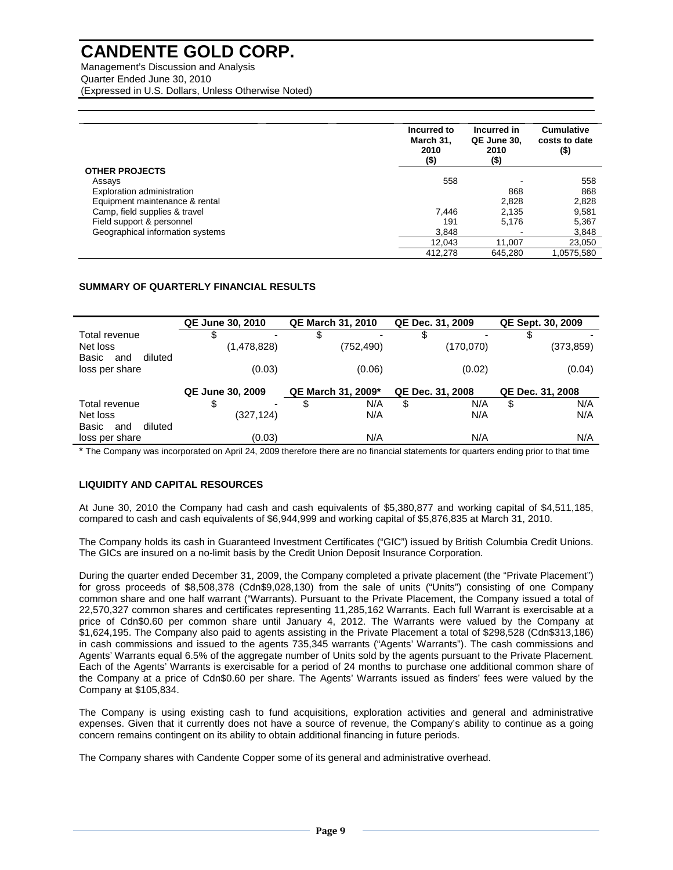Management's Discussion and Analysis Quarter Ended June 30, 2010 (Expressed in U.S. Dollars, Unless Otherwise Noted)

|                                  | Incurred to<br>March 31,<br>2010<br>$($ \$) | Incurred in<br>QE June 30,<br>2010<br>(\$) | <b>Cumulative</b><br>costs to date<br>$($ \$) |
|----------------------------------|---------------------------------------------|--------------------------------------------|-----------------------------------------------|
| <b>OTHER PROJECTS</b>            |                                             |                                            |                                               |
| Assays                           | 558                                         |                                            | 558                                           |
| Exploration administration       |                                             | 868                                        | 868                                           |
| Equipment maintenance & rental   |                                             | 2,828                                      | 2,828                                         |
| Camp, field supplies & travel    | 7.446                                       | 2,135                                      | 9,581                                         |
| Field support & personnel        | 191                                         | 5,176                                      | 5,367                                         |
| Geographical information systems | 3,848                                       |                                            | 3,848                                         |
|                                  | 12,043                                      | 11,007                                     | 23,050                                        |
|                                  | 412.278                                     | 645.280                                    | 1.0575.580                                    |

#### **SUMMARY OF QUARTERLY FINANCIAL RESULTS**

|                         | <b>QE June 30, 2010</b>       | <b>QE March 31, 2010</b> | QE Dec. 31, 2009 | QE Sept. 30, 2009 |
|-------------------------|-------------------------------|--------------------------|------------------|-------------------|
| Total revenue           | S<br>$\overline{\phantom{0}}$ | \$                       | S                |                   |
| Net loss                | (1,478,828)                   | (752,490)                | (170,070)        | (373,859)         |
| Basic<br>diluted<br>and |                               |                          |                  |                   |
| loss per share          | (0.03)                        | (0.06)                   | (0.02)           | (0.04)            |
|                         |                               |                          |                  |                   |
|                         | <b>QE June 30, 2009</b>       | QE March 31, 2009*       | QE Dec. 31, 2008 | QE Dec. 31, 2008  |
| Total revenue           | \$<br>۰                       | N/A<br>\$                | N/A<br>\$        | N/A<br>\$         |
| Net loss                | (327,124)                     | N/A                      | N/A              | N/A               |
| diluted<br>Basic<br>and |                               |                          |                  |                   |
| loss per share          | (0.03)                        | N/A                      | N/A              | N/A               |

\* The Company was incorporated on April 24, 2009 therefore there are no financial statements for quarters ending prior to that time

#### **LIQUIDITY AND CAPITAL RESOURCES**

At June 30, 2010 the Company had cash and cash equivalents of \$5,380,877 and working capital of \$4,511,185, compared to cash and cash equivalents of \$6,944,999 and working capital of \$5,876,835 at March 31, 2010.

The Company holds its cash in Guaranteed Investment Certificates ("GIC") issued by British Columbia Credit Unions. The GICs are insured on a no-limit basis by the Credit Union Deposit Insurance Corporation.

During the quarter ended December 31, 2009, the Company completed a private placement (the "Private Placement") for gross proceeds of \$8,508,378 (Cdn\$9,028,130) from the sale of units ("Units") consisting of one Company common share and one half warrant ("Warrants). Pursuant to the Private Placement, the Company issued a total of 22,570,327 common shares and certificates representing 11,285,162 Warrants. Each full Warrant is exercisable at a price of Cdn\$0.60 per common share until January 4, 2012. The Warrants were valued by the Company at \$1,624,195. The Company also paid to agents assisting in the Private Placement a total of \$298,528 (Cdn\$313,186) in cash commissions and issued to the agents 735,345 warrants ("Agents' Warrants"). The cash commissions and Agents' Warrants equal 6.5% of the aggregate number of Units sold by the agents pursuant to the Private Placement. Each of the Agents' Warrants is exercisable for a period of 24 months to purchase one additional common share of the Company at a price of Cdn\$0.60 per share. The Agents' Warrants issued as finders' fees were valued by the Company at \$105,834.

The Company is using existing cash to fund acquisitions, exploration activities and general and administrative expenses. Given that it currently does not have a source of revenue, the Company's ability to continue as a going concern remains contingent on its ability to obtain additional financing in future periods.

The Company shares with Candente Copper some of its general and administrative overhead.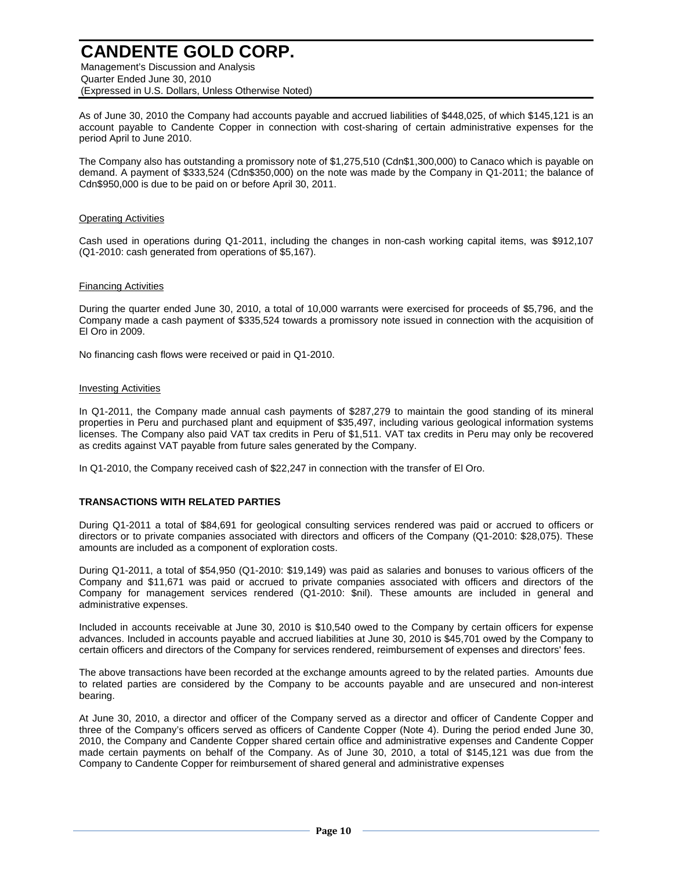Management's Discussion and Analysis Quarter Ended June 30, 2010 (Expressed in U.S. Dollars, Unless Otherwise Noted)

As of June 30, 2010 the Company had accounts payable and accrued liabilities of \$448,025, of which \$145,121 is an account payable to Candente Copper in connection with cost-sharing of certain administrative expenses for the period April to June 2010.

The Company also has outstanding a promissory note of \$1,275,510 (Cdn\$1,300,000) to Canaco which is payable on demand. A payment of \$333,524 (Cdn\$350,000) on the note was made by the Company in Q1-2011; the balance of Cdn\$950,000 is due to be paid on or before April 30, 2011.

#### Operating Activities

Cash used in operations during Q1-2011, including the changes in non-cash working capital items, was \$912,107 (Q1-2010: cash generated from operations of \$5,167).

#### Financing Activities

During the quarter ended June 30, 2010, a total of 10,000 warrants were exercised for proceeds of \$5,796, and the Company made a cash payment of \$335,524 towards a promissory note issued in connection with the acquisition of El Oro in 2009.

No financing cash flows were received or paid in Q1-2010.

#### Investing Activities

In Q1-2011, the Company made annual cash payments of \$287,279 to maintain the good standing of its mineral properties in Peru and purchased plant and equipment of \$35,497, including various geological information systems licenses. The Company also paid VAT tax credits in Peru of \$1,511. VAT tax credits in Peru may only be recovered as credits against VAT payable from future sales generated by the Company.

In Q1-2010, the Company received cash of \$22,247 in connection with the transfer of El Oro.

#### **TRANSACTIONS WITH RELATED PARTIES**

During Q1-2011 a total of \$84,691 for geological consulting services rendered was paid or accrued to officers or directors or to private companies associated with directors and officers of the Company (Q1-2010: \$28,075). These amounts are included as a component of exploration costs.

During Q1-2011, a total of \$54,950 (Q1-2010: \$19,149) was paid as salaries and bonuses to various officers of the Company and \$11,671 was paid or accrued to private companies associated with officers and directors of the Company for management services rendered (Q1-2010: \$nil). These amounts are included in general and administrative expenses.

Included in accounts receivable at June 30, 2010 is \$10,540 owed to the Company by certain officers for expense advances. Included in accounts payable and accrued liabilities at June 30, 2010 is \$45,701 owed by the Company to certain officers and directors of the Company for services rendered, reimbursement of expenses and directors' fees.

The above transactions have been recorded at the exchange amounts agreed to by the related parties. Amounts due to related parties are considered by the Company to be accounts payable and are unsecured and non-interest bearing.

At June 30, 2010, a director and officer of the Company served as a director and officer of Candente Copper and three of the Company's officers served as officers of Candente Copper (Note 4). During the period ended June 30, 2010, the Company and Candente Copper shared certain office and administrative expenses and Candente Copper made certain payments on behalf of the Company. As of June 30, 2010, a total of \$145,121 was due from the Company to Candente Copper for reimbursement of shared general and administrative expenses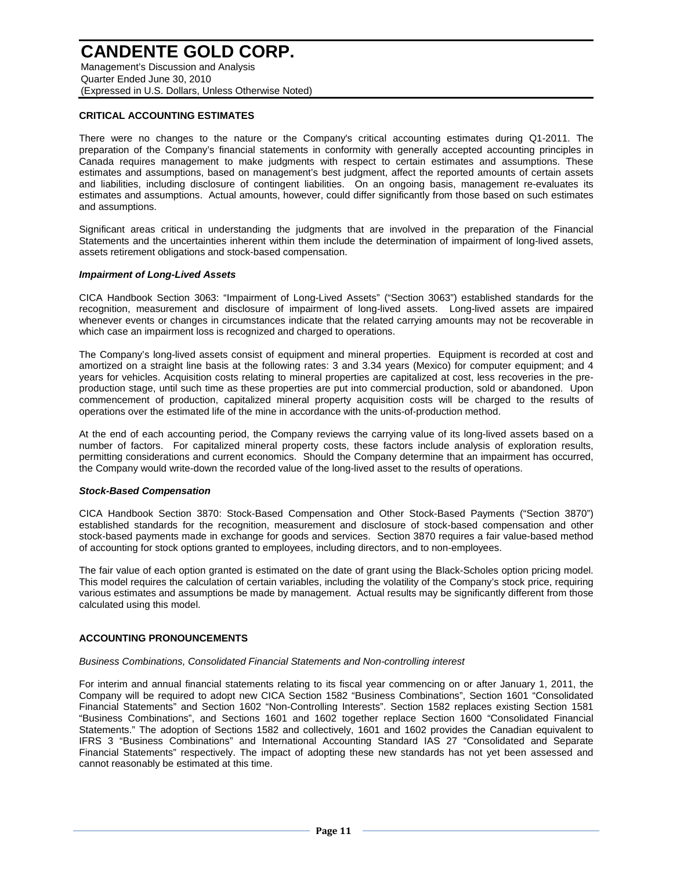Management's Discussion and Analysis Quarter Ended June 30, 2010 (Expressed in U.S. Dollars, Unless Otherwise Noted)

#### **CRITICAL ACCOUNTING ESTIMATES**

There were no changes to the nature or the Company's critical accounting estimates during Q1-2011. The preparation of the Company's financial statements in conformity with generally accepted accounting principles in Canada requires management to make judgments with respect to certain estimates and assumptions. These estimates and assumptions, based on management's best judgment, affect the reported amounts of certain assets and liabilities, including disclosure of contingent liabilities. On an ongoing basis, management re-evaluates its estimates and assumptions. Actual amounts, however, could differ significantly from those based on such estimates and assumptions.

Significant areas critical in understanding the judgments that are involved in the preparation of the Financial Statements and the uncertainties inherent within them include the determination of impairment of long-lived assets, assets retirement obligations and stock-based compensation.

#### **Impairment of Long-Lived Assets**

CICA Handbook Section 3063: "Impairment of Long-Lived Assets" ("Section 3063") established standards for the recognition, measurement and disclosure of impairment of long-lived assets. Long-lived assets are impaired whenever events or changes in circumstances indicate that the related carrying amounts may not be recoverable in which case an impairment loss is recognized and charged to operations.

The Company's long-lived assets consist of equipment and mineral properties. Equipment is recorded at cost and amortized on a straight line basis at the following rates: 3 and 3.34 years (Mexico) for computer equipment; and 4 years for vehicles. Acquisition costs relating to mineral properties are capitalized at cost, less recoveries in the preproduction stage, until such time as these properties are put into commercial production, sold or abandoned. Upon commencement of production, capitalized mineral property acquisition costs will be charged to the results of operations over the estimated life of the mine in accordance with the units-of-production method.

At the end of each accounting period, the Company reviews the carrying value of its long-lived assets based on a number of factors. For capitalized mineral property costs, these factors include analysis of exploration results, permitting considerations and current economics. Should the Company determine that an impairment has occurred, the Company would write-down the recorded value of the long-lived asset to the results of operations.

#### **Stock-Based Compensation**

CICA Handbook Section 3870: Stock-Based Compensation and Other Stock-Based Payments ("Section 3870") established standards for the recognition, measurement and disclosure of stock-based compensation and other stock-based payments made in exchange for goods and services. Section 3870 requires a fair value-based method of accounting for stock options granted to employees, including directors, and to non-employees.

The fair value of each option granted is estimated on the date of grant using the Black-Scholes option pricing model. This model requires the calculation of certain variables, including the volatility of the Company's stock price, requiring various estimates and assumptions be made by management. Actual results may be significantly different from those calculated using this model.

#### **ACCOUNTING PRONOUNCEMENTS**

#### Business Combinations, Consolidated Financial Statements and Non-controlling interest

For interim and annual financial statements relating to its fiscal year commencing on or after January 1, 2011, the Company will be required to adopt new CICA Section 1582 "Business Combinations", Section 1601 "Consolidated Financial Statements" and Section 1602 "Non-Controlling Interests". Section 1582 replaces existing Section 1581 "Business Combinations", and Sections 1601 and 1602 together replace Section 1600 "Consolidated Financial Statements." The adoption of Sections 1582 and collectively, 1601 and 1602 provides the Canadian equivalent to IFRS 3 "Business Combinations" and International Accounting Standard IAS 27 "Consolidated and Separate Financial Statements" respectively. The impact of adopting these new standards has not yet been assessed and cannot reasonably be estimated at this time.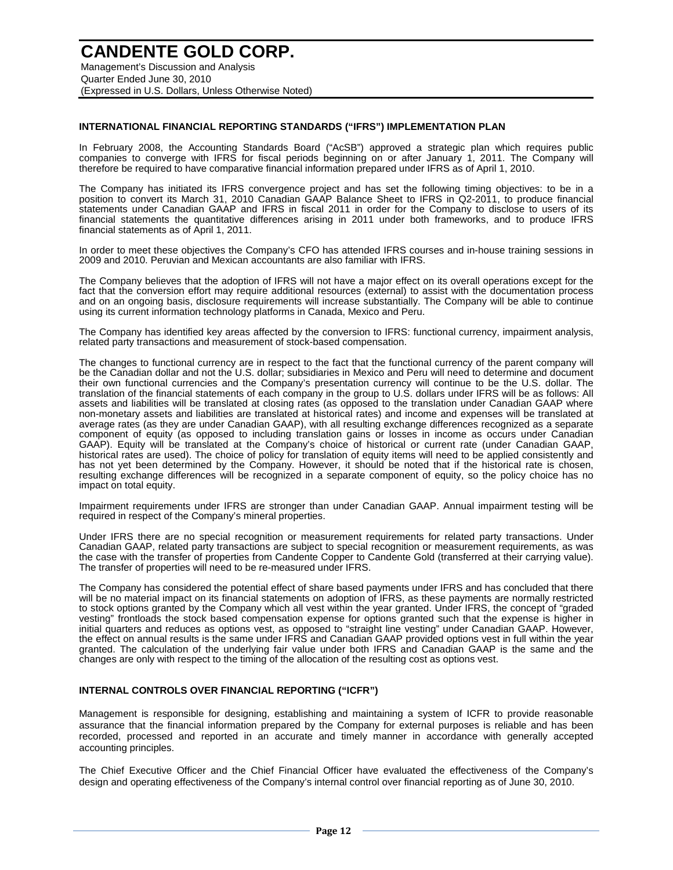### **CANDENTE GOLD CORP.** Management's Discussion and Analysis

Quarter Ended June 30, 2010 (Expressed in U.S. Dollars, Unless Otherwise Noted)

#### **INTERNATIONAL FINANCIAL REPORTING STANDARDS ("IFRS") IMPLEMENTATION PLAN**

In February 2008, the Accounting Standards Board ("AcSB") approved a strategic plan which requires public companies to converge with IFRS for fiscal periods beginning on or after January 1, 2011. The Company will therefore be required to have comparative financial information prepared under IFRS as of April 1, 2010.

The Company has initiated its IFRS convergence project and has set the following timing objectives: to be in a position to convert its March 31, 2010 Canadian GAAP Balance Sheet to IFRS in Q2-2011, to produce financial statements under Canadian GAAP and IFRS in fiscal 2011 in order for the Company to disclose to users of its financial statements the quantitative differences arising in 2011 under both frameworks, and to produce IFRS financial statements as of April 1, 2011.

In order to meet these objectives the Company's CFO has attended IFRS courses and in-house training sessions in 2009 and 2010. Peruvian and Mexican accountants are also familiar with IFRS.

The Company believes that the adoption of IFRS will not have a major effect on its overall operations except for the fact that the conversion effort may require additional resources (external) to assist with the documentation process and on an ongoing basis, disclosure requirements will increase substantially. The Company will be able to continue using its current information technology platforms in Canada, Mexico and Peru.

The Company has identified key areas affected by the conversion to IFRS: functional currency, impairment analysis, related party transactions and measurement of stock-based compensation.

The changes to functional currency are in respect to the fact that the functional currency of the parent company will be the Canadian dollar and not the U.S. dollar; subsidiaries in Mexico and Peru will need to determine and document their own functional currencies and the Company's presentation currency will continue to be the U.S. dollar. The translation of the financial statements of each company in the group to U.S. dollars under IFRS will be as follows: All assets and liabilities will be translated at closing rates (as opposed to the translation under Canadian GAAP where non-monetary assets and liabilities are translated at historical rates) and income and expenses will be translated at average rates (as they are under Canadian GAAP), with all resulting exchange differences recognized as a separate component of equity (as opposed to including translation gains or losses in income as occurs under Canadian GAAP). Equity will be translated at the Company's choice of historical or current rate (under Canadian GAAP, historical rates are used). The choice of policy for translation of equity items will need to be applied consistently and has not yet been determined by the Company. However, it should be noted that if the historical rate is chosen, resulting exchange differences will be recognized in a separate component of equity, so the policy choice has no impact on total equity.

Impairment requirements under IFRS are stronger than under Canadian GAAP. Annual impairment testing will be required in respect of the Company's mineral properties.

Under IFRS there are no special recognition or measurement requirements for related party transactions. Under Canadian GAAP, related party transactions are subject to special recognition or measurement requirements, as was the case with the transfer of properties from Candente Copper to Candente Gold (transferred at their carrying value). The transfer of properties will need to be re-measured under IFRS.

The Company has considered the potential effect of share based payments under IFRS and has concluded that there will be no material impact on its financial statements on adoption of IFRS, as these payments are normally restricted to stock options granted by the Company which all vest within the year granted. Under IFRS, the concept of "graded vesting" frontloads the stock based compensation expense for options granted such that the expense is higher in initial quarters and reduces as options vest, as opposed to "straight line vesting" under Canadian GAAP. However, the effect on annual results is the same under IFRS and Canadian GAAP provided options vest in full within the year granted. The calculation of the underlying fair value under both IFRS and Canadian GAAP is the same and the changes are only with respect to the timing of the allocation of the resulting cost as options vest.

#### **INTERNAL CONTROLS OVER FINANCIAL REPORTING ("ICFR")**

Management is responsible for designing, establishing and maintaining a system of ICFR to provide reasonable assurance that the financial information prepared by the Company for external purposes is reliable and has been recorded, processed and reported in an accurate and timely manner in accordance with generally accepted accounting principles.

The Chief Executive Officer and the Chief Financial Officer have evaluated the effectiveness of the Company's design and operating effectiveness of the Company's internal control over financial reporting as of June 30, 2010.